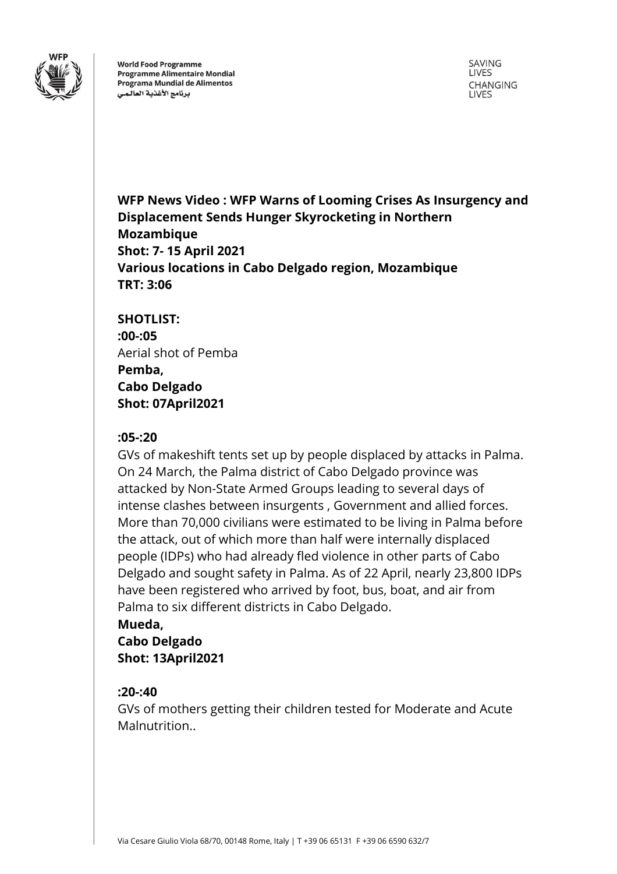

**World Food Programme Programme Alimentaire Mondial** Programa Mundial de Alimentos برنامج الأغذية العالمى

SAVING LIVES CHANGING **LIVES** 

**WFP News Video : WFP Warns of Looming Crises As Insurgency and Displacement Sends Hunger Skyrocketing in Northern Mozambique Shot: 7- 15 April 2021 Various locations in Cabo Delgado region, Mozambique TRT: 3:06**

**SHOTLIST: :00-:05** Aerial shot of Pemba **Pemba, Cabo Delgado Shot: 07April2021**

### **:05-:20**

GVs of makeshift tents set up by people displaced by attacks in Palma. On 24 March, the Palma district of Cabo Delgado province was attacked by Non-State Armed Groups leading to several days of intense clashes between insurgents , Government and allied forces. More than 70,000 civilians were estimated to be living in Palma before the attack, out of which more than half were internally displaced people (IDPs) who had already fled violence in other parts of Cabo Delgado and sought safety in Palma. As of 22 April, nearly 23,800 IDPs have been registered who arrived by foot, bus, boat, and air from Palma to six different districts in Cabo Delgado.

### **Mueda,**

**Cabo Delgado Shot: 13April2021**

### **:20-:40**

GVs of mothers getting their children tested for Moderate and Acute Malnutrition..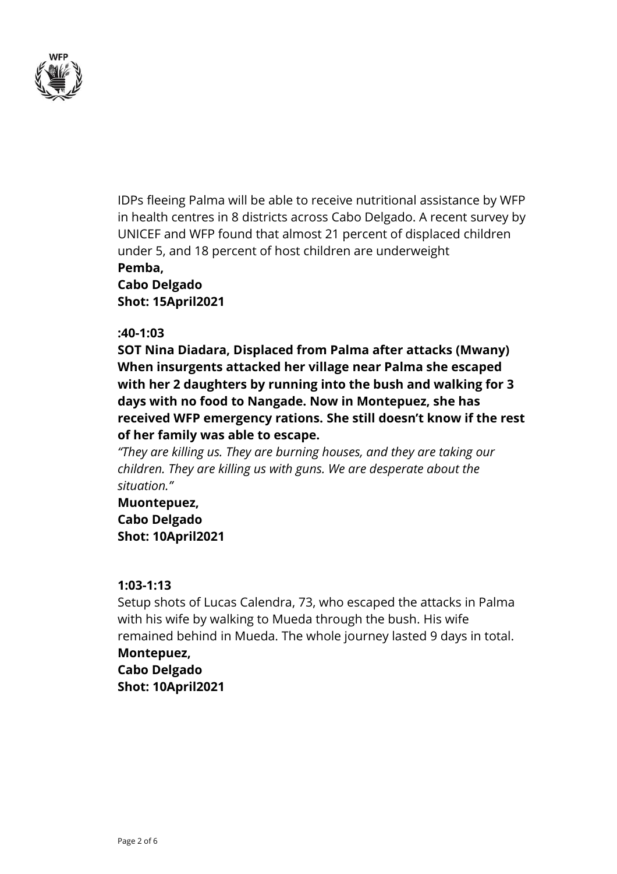

IDPs fleeing Palma will be able to receive nutritional assistance by WFP in health centres in 8 districts across Cabo Delgado. A recent survey by UNICEF and WFP found that almost 21 percent of displaced children under 5, and 18 percent of host children are underweight

## **Pemba,**

**Cabo Delgado Shot: 15April2021**

#### **:40-1:03**

**SOT Nina Diadara, Displaced from Palma after attacks (Mwany) When insurgents attacked her village near Palma she escaped with her 2 daughters by running into the bush and walking for 3 days with no food to Nangade. Now in Montepuez, she has received WFP emergency rations. She still doesn't know if the rest of her family was able to escape.**

*"They are killing us. They are burning houses, and they are taking our children. They are killing us with guns. We are desperate about the situation."*

**Muontepuez, Cabo Delgado Shot: 10April2021**

### **1:03-1:13**

Setup shots of Lucas Calendra, 73, who escaped the attacks in Palma with his wife by walking to Mueda through the bush. His wife remained behind in Mueda. The whole journey lasted 9 days in total.

### **Montepuez,**

**Cabo Delgado Shot: 10April2021**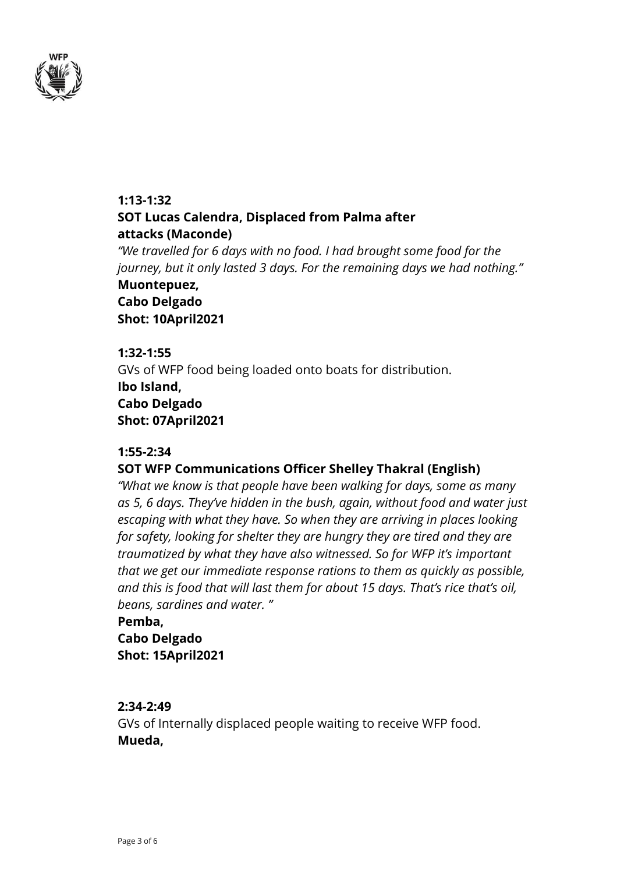

## **1:13-1:32 SOT Lucas Calendra, Displaced from Palma after attacks (Maconde)**

*"We travelled for 6 days with no food. I had brought some food for the journey, but it only lasted 3 days. For the remaining days we had nothing."*

# **Muontepuez, Cabo Delgado**

**Shot: 10April2021**

## **1:32-1:55**

GVs of WFP food being loaded onto boats for distribution. **Ibo Island, Cabo Delgado Shot: 07April2021**

### **1:55-2:34**

## **SOT WFP Communications Officer Shelley Thakral (English)**

*"What we know is that people have been walking for days, some as many as 5, 6 days. They've hidden in the bush, again, without food and water just escaping with what they have. So when they are arriving in places looking for safety, looking for shelter they are hungry they are tired and they are traumatized by what they have also witnessed. So for WFP it's important that we get our immediate response rations to them as quickly as possible, and this is food that will last them for about 15 days. That's rice that's oil, beans, sardines and water. "*

**Pemba,**

**Cabo Delgado Shot: 15April2021**

### **2:34-2:49**

GVs of Internally displaced people waiting to receive WFP food. **Mueda,**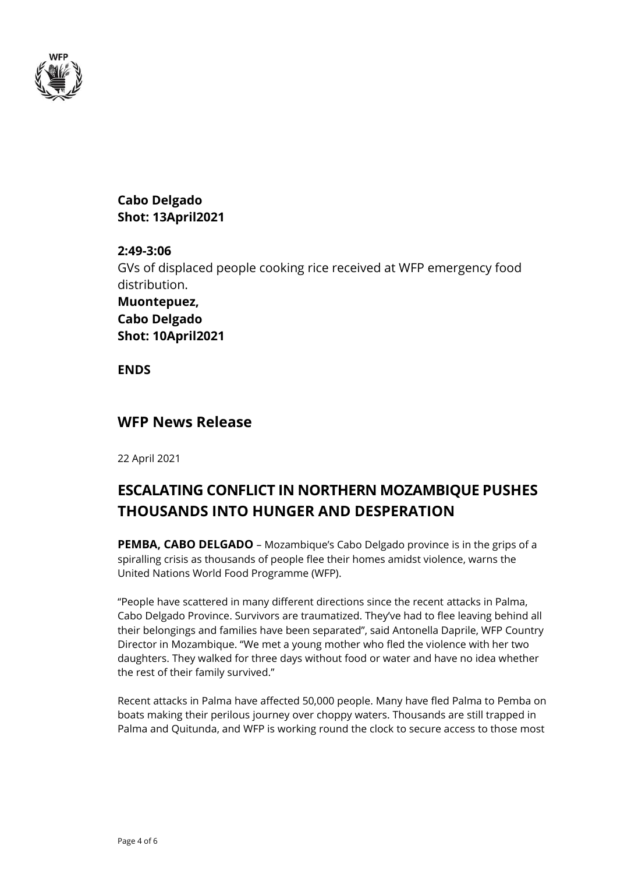

**Cabo Delgado Shot: 13April2021**

**2:49-3:06** GVs of displaced people cooking rice received at WFP emergency food distribution.

**Muontepuez, Cabo Delgado Shot: 10April2021** 

**ENDS**

## **WFP News Release**

22 April 2021

# **ESCALATING CONFLICT IN NORTHERN MOZAMBIQUE PUSHES THOUSANDS INTO HUNGER AND DESPERATION**

**PEMBA, CABO DELGADO** – Mozambique's Cabo Delgado province is in the grips of a spiralling crisis as thousands of people flee their homes amidst violence, warns the United Nations World Food Programme (WFP).

"People have scattered in many different directions since the recent attacks in Palma, Cabo Delgado Province. Survivors are traumatized. They've had to flee leaving behind all their belongings and families have been separated", said Antonella Daprile, WFP Country Director in Mozambique. "We met a young mother who fled the violence with her two daughters. They walked for three days without food or water and have no idea whether the rest of their family survived."

Recent attacks in Palma have affected 50,000 people. Many have fled Palma to Pemba on boats making their perilous journey over choppy waters. Thousands are still trapped in Palma and Quitunda, and WFP is working round the clock to secure access to those most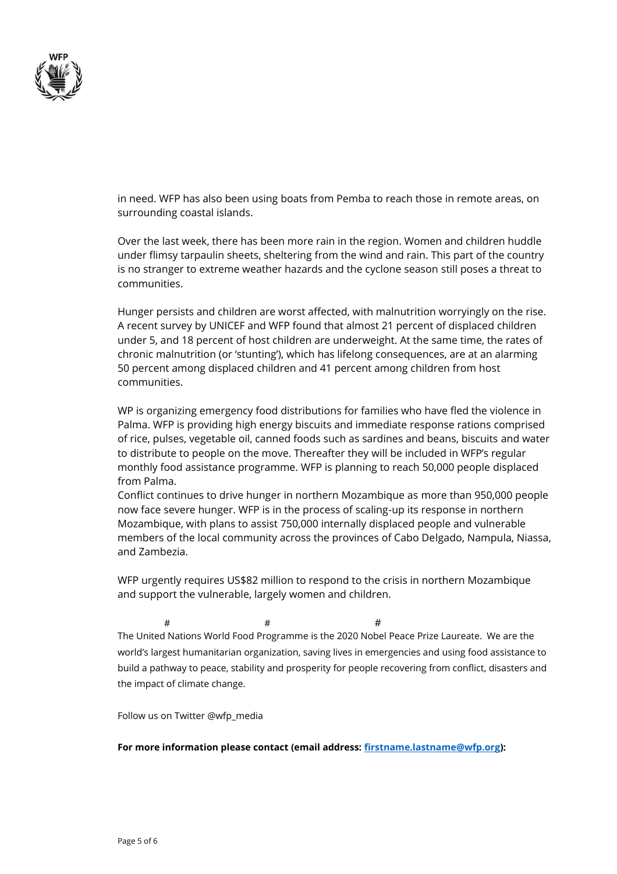

in need. WFP has also been using boats from Pemba to reach those in remote areas, on surrounding coastal islands.

Over the last week, there has been more rain in the region. Women and children huddle under flimsy tarpaulin sheets, sheltering from the wind and rain. This part of the country is no stranger to extreme weather hazards and the cyclone season still poses a threat to communities.

Hunger persists and children are worst affected, with malnutrition worryingly on the rise. A recent survey by UNICEF and WFP found that almost 21 percent of displaced children under 5, and 18 percent of host children are underweight. At the same time, the rates of chronic malnutrition (or 'stunting'), which has lifelong consequences, are at an alarming 50 percent among displaced children and 41 percent among children from host communities.

WP is organizing emergency food distributions for families who have fled the violence in Palma. WFP is providing high energy biscuits and immediate response rations comprised of rice, pulses, vegetable oil, canned foods such as sardines and beans, biscuits and water to distribute to people on the move. Thereafter they will be included in WFP's regular monthly food assistance programme. WFP is planning to reach 50,000 people displaced from Palma.

Conflict continues to drive hunger in northern Mozambique as more than 950,000 people now face severe hunger. WFP is in the process of scaling-up its response in northern Mozambique, with plans to assist 750,000 internally displaced people and vulnerable members of the local community across the provinces of Cabo Delgado, Nampula, Niassa, and Zambezia.

WFP urgently requires US\$82 million to respond to the crisis in northern Mozambique and support the vulnerable, largely women and children.

 $\#$   $\#$ The United Nations World Food Programme is the 2020 Nobel Peace Prize Laureate. We are the world's largest humanitarian organization, saving lives in emergencies and using food assistance to build a pathway to peace, stability and prosperity for people recovering from conflict, disasters and the impact of climate change.

Follow us on Twitter @wfp\_media

**For more information please contact (email address: [firstname.lastname@wfp.org\)](mailto:firstname.lastname@wfp.org):**